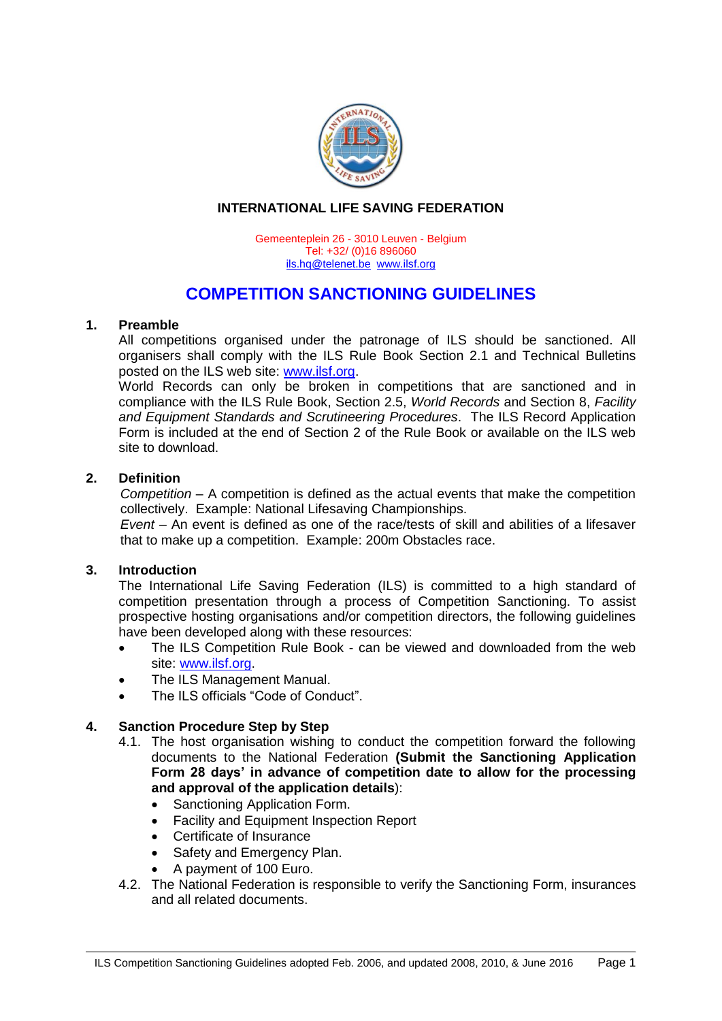

# **INTERNATIONAL LIFE SAVING FEDERATION**

Gemeenteplein 26 - 3010 Leuven - Belgium Tel: +32/ (0)16 896060 [ils.hq@telenet.be](mailto:ils.hq@telenet.be) [www.ilsf.org](http://www.ilsf.org/)

# **COMPETITION SANCTIONING GUIDELINES**

# **1. Preamble**

All competitions organised under the patronage of ILS should be sanctioned. All organisers shall comply with the ILS Rule Book Section 2.1 and Technical Bulletins posted on the ILS web site: [www.ilsf.org.](http://www.ilsf.org/)

World Records can only be broken in competitions that are sanctioned and in compliance with the ILS Rule Book, Section 2.5, *World Records* and Section 8, *Facility and Equipment Standards and Scrutineering Procedures*. The ILS Record Application Form is included at the end of Section 2 of the Rule Book or available on the ILS web site to download.

# **2. Definition**

*Competition* – A competition is defined as the actual events that make the competition collectively. Example: National Lifesaving Championships.

*Event* – An event is defined as one of the race/tests of skill and abilities of a lifesaver that to make up a competition. Example: 200m Obstacles race.

# **3. Introduction**

The International Life Saving Federation (ILS) is committed to a high standard of competition presentation through a process of Competition Sanctioning. To assist prospective hosting organisations and/or competition directors, the following guidelines have been developed along with these resources:

- The ILS Competition Rule Book can be viewed and downloaded from the web site: [www.ilsf.org.](http://www.ilsf.org/)
- The ILS Management Manual.
- The ILS officials "Code of Conduct".

# **4. Sanction Procedure Step by Step**

- 4.1. The host organisation wishing to conduct the competition forward the following documents to the National Federation **(Submit the Sanctioning Application Form 28 days' in advance of competition date to allow for the processing and approval of the application details**):
	- Sanctioning Application Form.
	- Facility and Equipment Inspection Report
	- Certificate of Insurance
	- Safety and Emergency Plan.
	- A payment of 100 Euro.
- 4.2. The National Federation is responsible to verify the Sanctioning Form, insurances and all related documents.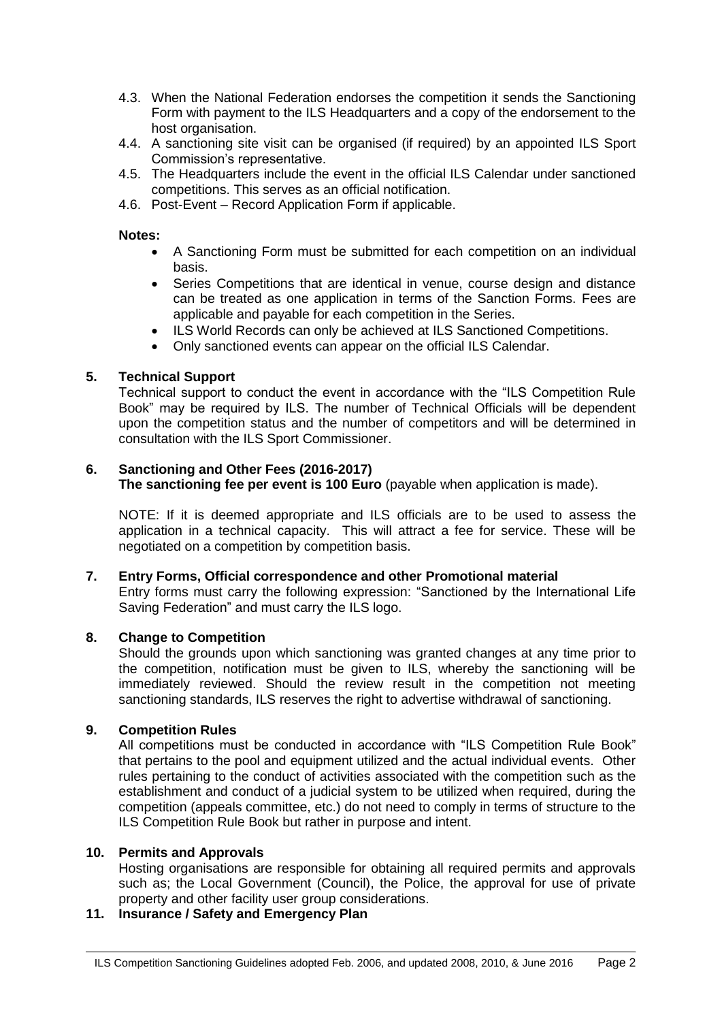- 4.3. When the National Federation endorses the competition it sends the Sanctioning Form with payment to the ILS Headquarters and a copy of the endorsement to the host organisation.
- 4.4. A sanctioning site visit can be organised (if required) by an appointed ILS Sport Commission's representative.
- 4.5. The Headquarters include the event in the official ILS Calendar under sanctioned competitions. This serves as an official notification.
- 4.6. Post-Event Record Application Form if applicable.

### **Notes:**

- A Sanctioning Form must be submitted for each competition on an individual basis.
- Series Competitions that are identical in venue, course design and distance can be treated as one application in terms of the Sanction Forms. Fees are applicable and payable for each competition in the Series.
- ILS World Records can only be achieved at ILS Sanctioned Competitions.
- Only sanctioned events can appear on the official ILS Calendar.

# **5. Technical Support**

Technical support to conduct the event in accordance with the "ILS Competition Rule Book" may be required by ILS. The number of Technical Officials will be dependent upon the competition status and the number of competitors and will be determined in consultation with the ILS Sport Commissioner.

# **6. Sanctioning and Other Fees (2016-2017)**

**The sanctioning fee per event is 100 Euro** (payable when application is made).

NOTE: If it is deemed appropriate and ILS officials are to be used to assess the application in a technical capacity. This will attract a fee for service. These will be negotiated on a competition by competition basis.

# **7. Entry Forms, Official correspondence and other Promotional material**

Entry forms must carry the following expression: "Sanctioned by the International Life Saving Federation" and must carry the ILS logo.

# **8. Change to Competition**

Should the grounds upon which sanctioning was granted changes at any time prior to the competition, notification must be given to ILS, whereby the sanctioning will be immediately reviewed. Should the review result in the competition not meeting sanctioning standards, ILS reserves the right to advertise withdrawal of sanctioning.

# **9. Competition Rules**

All competitions must be conducted in accordance with "ILS Competition Rule Book" that pertains to the pool and equipment utilized and the actual individual events. Other rules pertaining to the conduct of activities associated with the competition such as the establishment and conduct of a judicial system to be utilized when required, during the competition (appeals committee, etc.) do not need to comply in terms of structure to the ILS Competition Rule Book but rather in purpose and intent.

#### **10. Permits and Approvals**

Hosting organisations are responsible for obtaining all required permits and approvals such as; the Local Government (Council), the Police, the approval for use of private property and other facility user group considerations.

# **11. Insurance / Safety and Emergency Plan**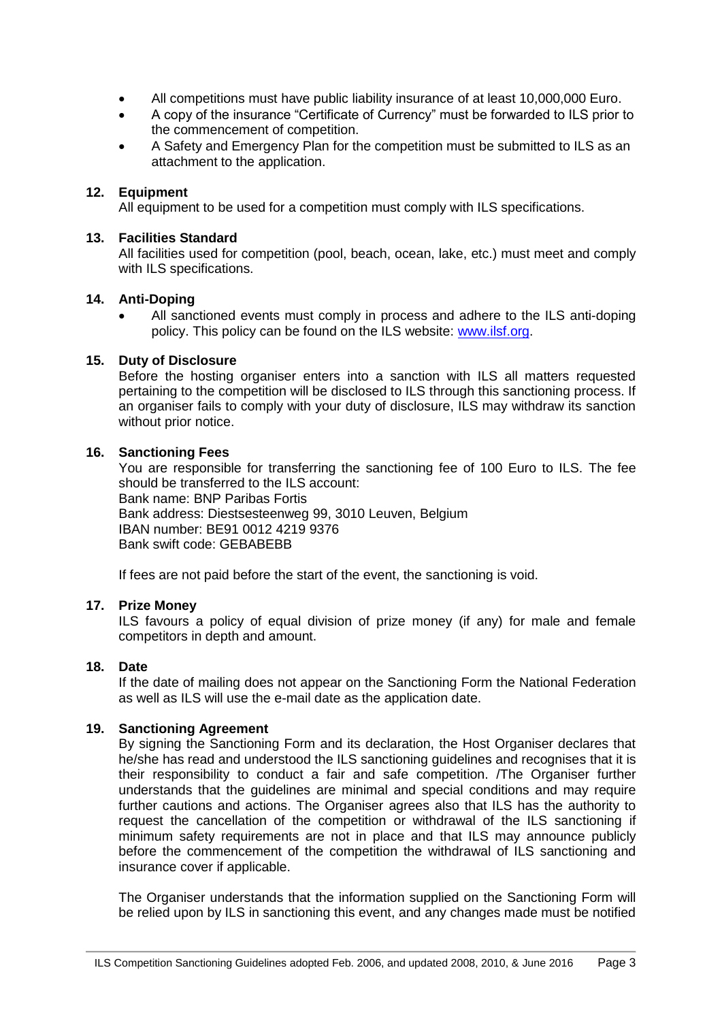- All competitions must have public liability insurance of at least 10,000,000 Euro.
- A copy of the insurance "Certificate of Currency" must be forwarded to ILS prior to the commencement of competition.
- A Safety and Emergency Plan for the competition must be submitted to ILS as an attachment to the application.

# **12. Equipment**

All equipment to be used for a competition must comply with ILS specifications.

#### **13. Facilities Standard**

All facilities used for competition (pool, beach, ocean, lake, etc.) must meet and comply with ILS specifications.

# **14. Anti-Doping**

 All sanctioned events must comply in process and adhere to the ILS anti-doping policy. This policy can be found on the ILS website: [www.ilsf.org.](http://www.ilsf.org/)

#### **15. Duty of Disclosure**

Before the hosting organiser enters into a sanction with ILS all matters requested pertaining to the competition will be disclosed to ILS through this sanctioning process. If an organiser fails to comply with your duty of disclosure, ILS may withdraw its sanction without prior notice.

#### **16. Sanctioning Fees**

You are responsible for transferring the sanctioning fee of 100 Euro to ILS. The fee should be transferred to the ILS account: Bank name: BNP Paribas Fortis Bank address: Diestsesteenweg 99, 3010 Leuven, Belgium IBAN number: BE91 0012 4219 9376 Bank swift code: GEBABEBB

If fees are not paid before the start of the event, the sanctioning is void.

# **17. Prize Money**

ILS favours a policy of equal division of prize money (if any) for male and female competitors in depth and amount.

# **18. Date**

If the date of mailing does not appear on the Sanctioning Form the National Federation as well as ILS will use the e-mail date as the application date.

# **19. Sanctioning Agreement**

By signing the Sanctioning Form and its declaration, the Host Organiser declares that he/she has read and understood the ILS sanctioning guidelines and recognises that it is their responsibility to conduct a fair and safe competition. /The Organiser further understands that the guidelines are minimal and special conditions and may require further cautions and actions. The Organiser agrees also that ILS has the authority to request the cancellation of the competition or withdrawal of the ILS sanctioning if minimum safety requirements are not in place and that ILS may announce publicly before the commencement of the competition the withdrawal of ILS sanctioning and insurance cover if applicable.

The Organiser understands that the information supplied on the Sanctioning Form will be relied upon by ILS in sanctioning this event, and any changes made must be notified